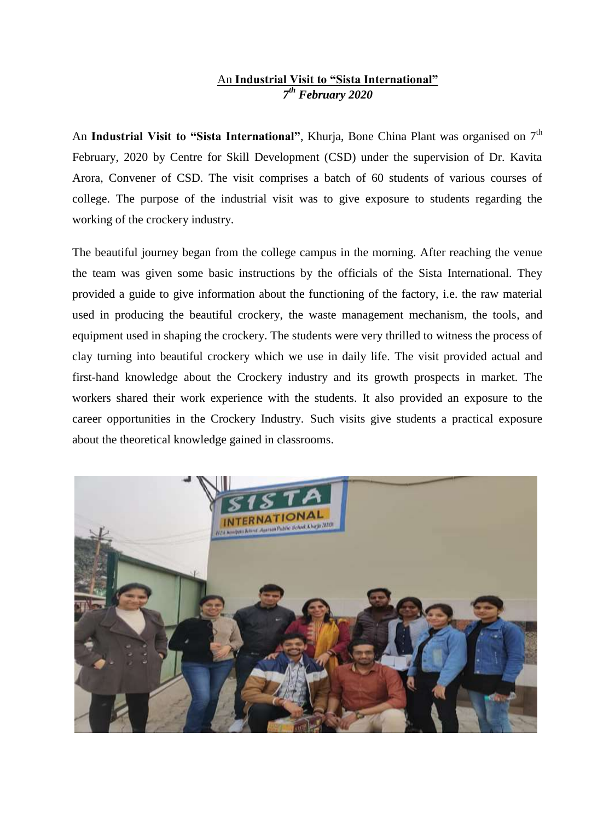## An **Industrial Visit to "Sista International"** *7 th February 2020*

An **Industrial Visit to "Sista International"**, Khurja, Bone China Plant was organised on 7<sup>th</sup> February, 2020 by Centre for Skill Development (CSD) under the supervision of Dr. Kavita Arora, Convener of CSD. The visit comprises a batch of 60 students of various courses of college. The purpose of the industrial visit was to give exposure to students regarding the working of the crockery industry.

The beautiful journey began from the college campus in the morning. After reaching the venue the team was given some basic instructions by the officials of the Sista International. They provided a guide to give information about the functioning of the factory, i.e. the raw material used in producing the beautiful crockery, the waste management mechanism, the tools, and equipment used in shaping the crockery. The students were very thrilled to witness the process of clay turning into beautiful crockery which we use in daily life. The visit provided actual and first-hand knowledge about the Crockery industry and its growth prospects in market. The workers shared their work experience with the students. It also provided an exposure to the career opportunities in the Crockery Industry. Such visits give students a practical exposure about the theoretical knowledge gained in classrooms.